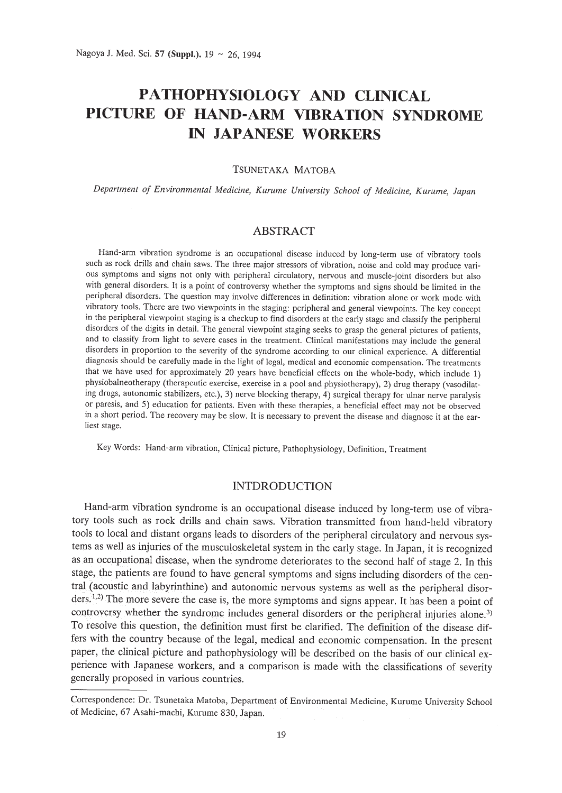# **PATHOPHYSIOLOGY AND CLINICAL PICTURE OF HAND-ARM VIBRATION SYNDROME IN JAPANESE WORKERS**

## TSUNETAKA MATOBA

*Department of Environmental Medicine, Kurume University School of Medicine, Kurume, Japan*

## **ABSTRACT**

Hand-arm vibration syndrome is an occupational disease induced by long-term use of vibratory tools such as rock drills and chain saws. The three major stressors of vibration, noise and cold may produce various symptoms and signs not only with peripheral circulatory, nervous and muscle-joint disorders but also with general disorders. It is a point of controversy whether the symptoms and signs should be limited in the peripheral disorders. The question may involve differences in definition: vibration alone or work mode with vibratory tools. There are two viewpoints in the staging: peripheral and general viewpoints. The key concept in the peripheral viewpoint staging is a checkup to find disorders at the early stage and classify the peripheral disorders of the digits in detail. The general viewpoint staging seeks to grasp the general pictures of patients, and to classify from light to severe cases in the treatment. Clinical manifestations may include the general disorders in proportion to the severity of the syndrome according to our clinical experience. A differential diagnosis should be carefully made in the light of legal, medical and economic compensation. The treatments that we have used for approximately 20 years have beneficial effects on the whole-body, which include 1) physiobalneotherapy (therapeutic exercise, exercise in a pool and physiotherapy), 2) drug therapy (vasodilating drugs, autonomic stabilizers, etc.), 3) nerve blocking therapy, 4) surgical therapy for ulnar nerve paralysis or paresis, and 5) education for patients. Even with these therapies, a beneficial effect may not be observed in a short period. The recovery may be slow. It is necessary to prevent the disease and diagnose it at the earliest stage.

Key Words: Hand-arm vibration, Clinical picture, Pathophysiology, Definition, Treatment

## **INTDRODUCTION**

Hand-arm vibration syndrome is an occupational disease induced by long-term use of vibratory tools such as rock drills and chain saws. Vibration transmitted from hand-held vibratory tools to local and distant organs leads to disorders of the peripheral circulatory and nervous systems as well as injuries of the musculoskeletal system in the early stage. In Japan, it is recognized as an occupational disease, when the syndrome deteriorates to the second half of stage 2. In this stage, the patients are found to have general symptoms and signs including disorders of the central (acoustic and labyrinthine) and autonomic nervous systems as well as the peripheral disorders.<sup>1,2)</sup> The more severe the case is, the more symptoms and signs appear. It has been a point of controversy whether the syndrome includes general disorders or the peripheral injuries alone.<sup>3)</sup> To resolve this question, the definition must first be clarified. The definition of the disease differs with the country because of the legal, medical and economic compensation. In the present paper, the clinical picture and pathophysiology will be described on the basis of our clinical experience with Japanese workers, and a comparison is made with the classifications of severity generally proposed in various countries.

Correspondence: Dr. Tsunetaka Matoba, Department of Environmental Medicine, Kurume University School of Medicine, 67 Asahi-machi, Kurume 830, Japan.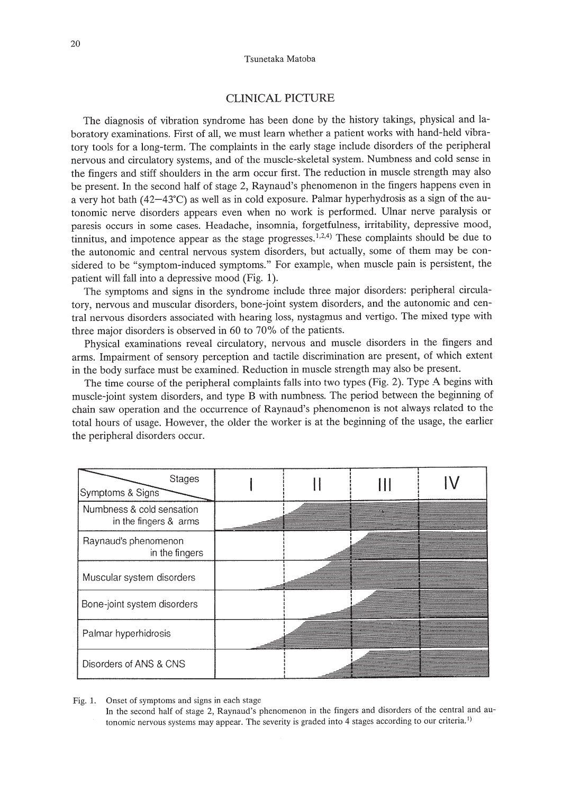### CLINICAL PICTURE

The diagnosis of vibration syndrome has been done by the history takings, physical and laboratory examinations. First of all, we must learn whether a patient works with hand-held vibratory tools for a long-term. The complaints in the early stage include disorders of the peripheral nervous and circulatory systems, and of the muscle-skeletal system. Numbness and cold sense in the fingers and stiff shoulders in the arm occur first. The reduction in muscle strength may also be present. In the second half of stage 2, Raynaud's phenomenon in the fingers happens even in a very hot bath (42-43°C) as well as in cold exposure. Palmar hyperhydrosis as a sign of the autonomic nerve disorders appears even when no work is performed. Ulnar nerve paralysis or paresis occurs in some cases. Headache, insomnia, forgetfulness, irritability, depressive mood, tinnitus, and impotence appear as the stage progresses.<sup>1,2,4)</sup> These complaints should be due to the autonomic and central nervous system disorders, but actually, some of them may be considered to be "symptom-induced symptoms." For example, when muscle pain is persistent, the patient will fall into a depressive mood (Fig. 1).

The symptoms and signs in the syndrome include three major disorders: peripheral circulatory, nervous and muscular disorders, bone-joint system disorders, and the autonomic and central nervous disorders associated with hearing loss, nystagmus and vertigo. The mixed type with three major disorders is observed in 60 to 70% of the patients.

Physical examinations reveal circulatory, nervous and muscle disorders in the fingers and arms. Impairment of sensory perception and tactile discrimination are present, of which extent in the body surface must be examined. Reduction in muscle strength may also be present.

The time course of the peripheral complaints falls into two types (Fig. 2). Type A begins with muscle-joint system disorders, and type B with numbness. The period between the beginning of chain saw operation and the occurrence of Raynaud's phenomenon is not always related to the total hours of usage. However, the older the worker is at the beginning of the usage, the earlier the peripheral disorders occur.

| Stages<br>Symptoms & Signs                         |  |  |
|----------------------------------------------------|--|--|
| Numbness & cold sensation<br>in the fingers & arms |  |  |
| Raynaud's phenomenon<br>in the fingers             |  |  |
| Muscular system disorders                          |  |  |
| Bone-joint system disorders                        |  |  |
| Palmar hyperhidrosis                               |  |  |
| Disorders of ANS & CNS                             |  |  |

#### Fig. 1. Onset of symptoms and signs in each stage

In the second half of stage 2, Raynaud's phenomenon in the fingers and disorders of the central and autonomic nervous systems may appear. The severity is graded into 4 stages according to our criteria.<sup>1)</sup>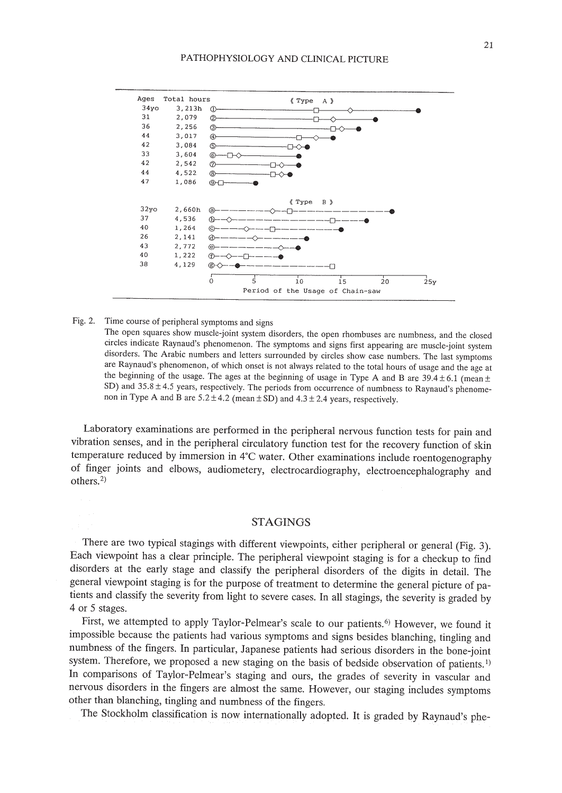

Fig. 2. Time course of peripheral symptoms and signs

The open squares show muscle-joint system disorders, the open rhombuses are numbness, and the closed circles indicate Raynaud's phenomenon. The symptoms and signs first appearing are muscle-joint system disorders. The Arabic numbers and letters surrounded by circles show case numbers. The last symptoms are Raynaud's phenomenon, of which onset is not always related to the total hours of usage and the age at the beginning of the usage. The ages at the beginning of usage in Type A and B are  $39.4 \pm 6.1$  (mean  $\pm$ SD) and  $35.8 \pm 4.5$  years, respectively. The periods from occurrence of numbness to Raynaud's phenomenon in Type A and B are  $5.2 \pm 4.2$  (mean  $\pm$  SD) and  $4.3 \pm 2.4$  years, respectively.

Laboratory examinations are performed in the peripheral nervous function tests for pain and vibration senses, and in the peripheral circulatory function test for the recovery function of skin temperature reduced by immersion in 4°C water. Other examinations include roentogenography of finger joints and elbows, audiometery, electrocardiography, electroencephalography and others. $2$ )

## STAGINGS

There are two typical stagings with different viewpoints, either peripheral or general (Fig. 3). Each viewpoint has a clear principle. The peripheral viewpoint staging is for a checkup to find disorders at the early stage and classify the peripheral disorders of the digits in detail. The general viewpoint staging is for the purpose of treatment to determine the general picture of patients and classify the severity from light to severe cases. In all stagings, the severity is graded by 4 or 5 stages.

First, we attempted to apply Taylor-Pelmear's scale to our patients.<sup>6)</sup> However, we found it impossible because the patients had various symptoms and signs besides blanching, tingling and numbness of the fingers. In particular, Japanese patients had serious disorders in the bone-joint system. Therefore, we proposed a new staging on the basis of bedside observation of patients.<sup>1)</sup> In comparisons of Taylor-Pelmear's staging and ours, the grades of severity in vascular and nervous disorders in the fingers are almost the same. However, our staging includes symptoms other than blanching, tingling and numbness of the fingers.

The Stockholm classification is now internationally adopted. It is graded by Raynaud's phe-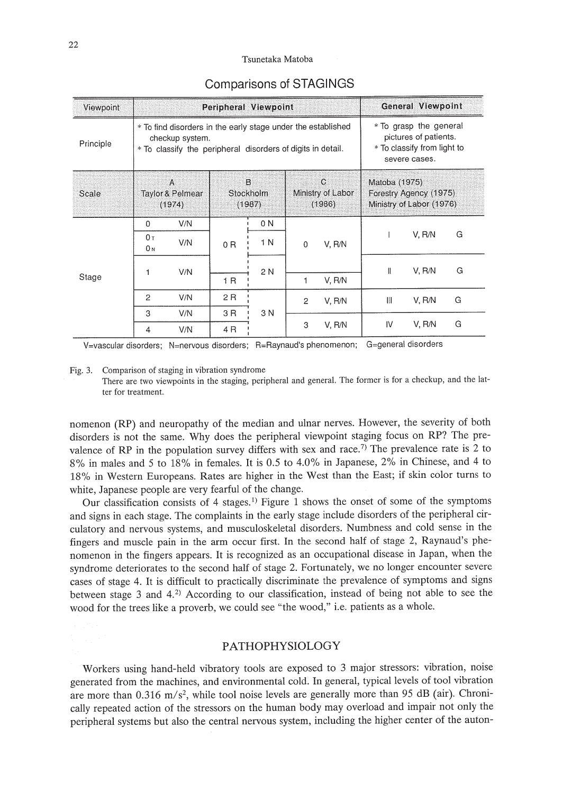#### Tsunetaka Matoba

| Viewpoint | Peripheral Viewpoint                                                                                                                           |            |                                 |            |                                             |        |                                                                                                 | General Viewpoint |   |  |
|-----------|------------------------------------------------------------------------------------------------------------------------------------------------|------------|---------------------------------|------------|---------------------------------------------|--------|-------------------------------------------------------------------------------------------------|-------------------|---|--|
| Principle | * To find disorders in the early stage under the established<br>checkup system.<br>* To classify the peripheral disorders of digits in detail. |            |                                 |            |                                             |        | * To grasp the general<br>pictures of patients.<br>* To classify from light to<br>severe cases. |                   |   |  |
| Scale     | A<br><b>Taylor &amp; Pelmear</b><br>(1974)                                                                                                     |            | B<br><b>Stockholm</b><br>(1987) |            | $\mathsf{C}$<br>Ministry of Labor<br>(1986) |        | Matoba (1975)<br>Forestry Agency (1975)<br>Ministry of Labor (1976)                             |                   |   |  |
| Stage     | $\Omega$<br>0 <sub>T</sub><br>0 N                                                                                                              | V/N<br>V/N | 0 <sub>R</sub>                  | 0 N<br>1 N | $\mathbf{0}$<br>1                           | V. R/N |                                                                                                 | V, R/N            | G |  |
|           | 1                                                                                                                                              | V/N        | 1 R                             | 2 N        |                                             | V, R/N | $\mathbf{I}$                                                                                    | V. R/N            | G |  |
|           | 2                                                                                                                                              | V/N        | 2R                              | 3 N        | $\overline{2}$                              | V. R/N | Ш                                                                                               | V. R/N            | G |  |
|           | 3<br>4                                                                                                                                         | V/N<br>V/N | 3 R<br>4 R                      |            | 3                                           | V. R/N | IV                                                                                              | V, R/N            | G |  |

## Comparisons of STAGINGS

V=vascular disorders; N=nervous disorders; R=Raynaud's phenomenon; G=general disorders

Fig. 3. Comparison of staging in vibration syndrome

There are two viewpoints in the staging, peripheral and general. The former is for a checkup, and the latter for treatment.

nomenon (RP) and neuropathy of the median and ulnar nerves. However, the severity of both disorders is not the same. Why does the peripheral viewpoint staging focus on RP? The prevalence of RP in the population survey differs with sex and race.<sup>7)</sup> The prevalence rate is 2 to 8% in males and 5 to 18% in females. It is 0.5 to 4.0% in Japanese, 2% in Chinese, and 4 to 18% in Western Europeans. Rates are higher in the West than the East; if skin color turns to white, Japanese people are very fearful of the change.

Our classification consists of 4 stages. <sup>l</sup> ) Figure 1 shows the onset of some of the symptoms and signs in each stage. The complaints in the early stage include disorders of the peripheral circulatory and nervous systems, and musculoskeletal disorders. Numbness and cold sense in the fingers and muscle pain in the arm occur first. In the second half of stage 2, Raynaud's phenomenon in the fingers appears. It is recognized as an occupational disease in Japan, when the syndrome deteriorates to the second half of stage 2. Fortunately, we no longer encounter severe cases of stage 4. It is difficult to practicaIIy discriminate the prevalence of symptoms and signs between stage 3 and  $4.2$ ) According to our classification, instead of being not able to see the wood for the trees like a proverb, we could see "the wood," i.e. patients as a whole.

## PATHOPHYSIOLOGY

Workers using hand-held vibratory tools are exposed to 3 major stressors: vibration, noise generated from the machines, and environmental cold. In general, typical levels of tool vibration are more than  $0.316$  m/s<sup>2</sup>, while tool noise levels are generally more than 95 dB (air). ChronicaIIy repeated action of the stressors on the human body may overload and impair not only the peripheral systems but also the central nervous system, including the higher center of the auton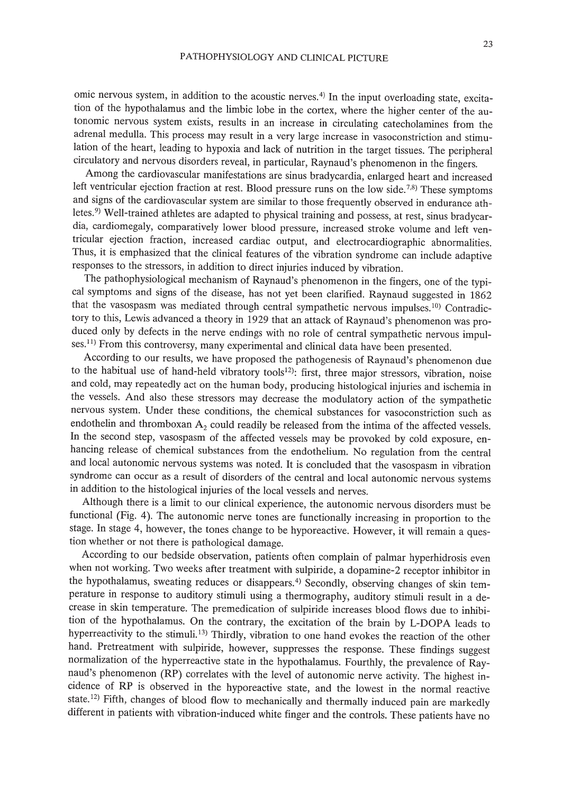omic nervous system, in addition to the acoustic nerves.<sup>4)</sup> In the input overloading state, excitation of the hypothalamus and the limbic lobe in the cortex, where the higher center of the autonomic nervous system exists, results in an increase in circulating catecholamines from the adrenal medulla. This process may result in a very large increase in vasoconstriction and stimulation of the heart, leading to hypoxia and lack of nutrition in the target tissues. The peripheral circulatory and nervous disorders reveal, in particular, Raynaud's phenomenon in the fingers.

Among the cardiovascular manifestations are sinus bradycardia, enlarged heart and increased left ventricular ejection fraction at rest. Blood pressure runs on the low side.<sup>7,8)</sup> These symptoms and signs of the cardiovascular system are similar to those frequently observed in endurance athletes.<sup>9)</sup> Well-trained athletes are adapted to physical training and possess, at rest, sinus bradycardia, cardiomegaly, comparatively lower blood pressure, increased stroke volume and left ventricular ejection fraction, increased cardiac output, and electrocardiographic abnormalities. Thus, it is emphasized that the clinical features of the vibration syndrome can include adaptive responses to the stressors, in addition to direct injuries induced by vibration.

The pathophysiological mechanism of Raynaud's phenomenon in the fingers, one of the typical symptoms and signs of the disease, has not yet been clarified. Raynaud suggested in 1862 that the vasospasm was mediated through central sympathetic nervous impulses.<sup>10)</sup> Contradictory to this, Lewis advanced a theory in 1929 that an attack of Raynaud's phenomenon was produced only by defects in the nerve endings with no role of central sympathetic nervous impulses.<sup>11)</sup> From this controversy, many experimental and clinical data have been presented.

According to our results, we have proposed the pathogenesis of Raynaud's phenomenon due to the habitual use of hand-held vibratory tools<sup>12</sup>): first, three major stressors, vibration, noise and cold, may repeatedly act on the human body, producing histological injuries and ischemia in the vessels. And also these stressors may decrease the modulatory action of the sympathetic nervous system. Under these conditions, the chemical substances for vasoconstriction such as endothelin and thromboxan  $A_2$  could readily be released from the intima of the affected vessels. In the second step, vasospasm of the affected vessels may be provoked by cold exposure, enhancing release of chemical substances from the endothelium. No regulation from the central and local autonomic nervous systems was noted. It is concluded that the vasospasm in vibration syndrome can occur as a result of disorders of the central and local autonomic nervous systems in addition to the histological injuries of the local vessels and nerves.

Although there is a limit to our clinical experience, the autonomic nervous disorders must be functional (Fig. 4). The autonomic nerve tones are functionally increasing in proportion to the stage. In stage 4, however, the tones change to be hyporeactive. However, it will remain a question whether or not there is pathological damage.

According to our bedside observation, patients often complain of palmar hyperhidrosis even when not working. Two weeks after treatment with sulpiride, a dopamine-2 receptor inhibitor in the hypothalamus, sweating reduces or disappears.<sup>4)</sup> Secondly, observing changes of skin temperature in response to auditory stimuli using a thermography, auditory stimuli result in a decrease in skin temperature. The premedication of sulpiride increases blood flows due to inhibition of the hypothalamus. On the contrary, the excitation of the brain by L-DOPA leads to hyperreactivity to the stimuli.<sup>13)</sup> Thirdly, vibration to one hand evokes the reaction of the other hand. Pretreatment with sulpiride, however, suppresses the response. These findings suggest normalization of the hyperreactive state in the hypothalamus. Fourthly, the prevalence of Raynaud's phenomenon (RP) correlates with the level of autonomic nerve activity. The highest incidence of RP is observed in the hyporeactive state, and the lowest in the normal reactive state.<sup>12)</sup> Fifth, changes of blood flow to mechanically and thermally induced pain are markedly different in patients with vibration-induced white finger and the controls. These patients have no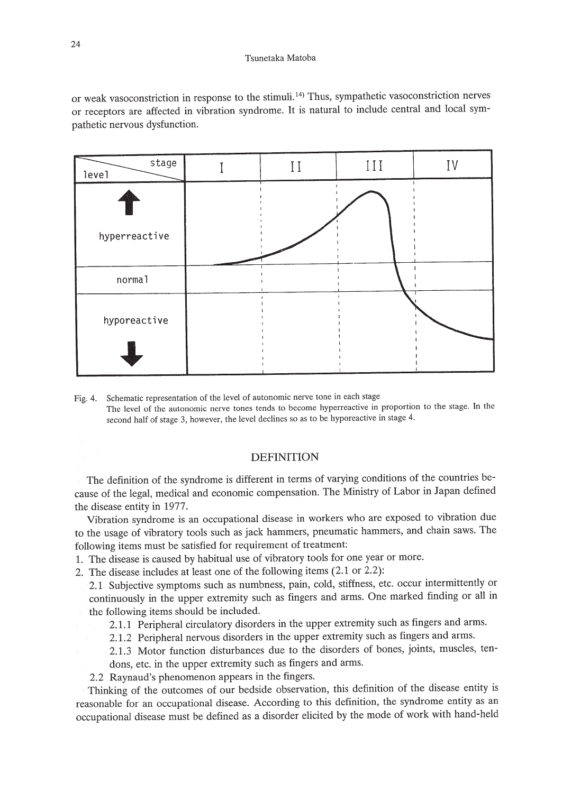#### Tsunetaka Matoba

or weak vasoconstriction in response to the stimuli. 14) Thus, sympathetic vasoconstriction nerves or receptors are affected in vibration syndrome. It is natural to include central and local sympathetic nervous dysfunction.



Fig. 4. Schematic representation of the level of autonomic nerve tone in each stage The level of the autonomic nerve tones tends to become hyperreactive in proportion to the stage. In the second half of stage 3, however, the level declines so as to be hyporeactive in stage 4.

## DEFINITION

The definition of the syndrome is different in terms of varying conditions of the countries because of the legal, medical and economic compensation. The Ministry of Labor in Japan defined the disease entity in 1977.

Vibration syndrome is an occupational disease in workers who are exposed to vibration due to the usage of vibratory tools such as jack hammers, pneumatic hammers, and chain saws. The following items must be satisfied for requirement of treatment:

- 1. The disease is caused by habitual use of vibratory tools for one year or more.
- 2. The disease includes at least one of the following items (2.1 or 2.2):
	- 2.1 Subjective symptoms such as numbness, pain, cold, stiffness, etc. occur intermittently or continuously in the upper extremity such as fingers and arms. One marked finding or all in the following items should be included.
		- 2.1.1 Peripheral circulatory disorders in the upper extremity such as fingers and arms.
		- 2.1.2 Peripheral nervous disorders in the upper extremity such as fingers and arms.

2.1.3 Motor function disturbances due to the disorders of bones, joints, muscles, tendons, etc. in the upper extremity such as fingers and arms.

2.2 Raynaud's phenomenon appears in the fingers.

Thinking of the outcomes of our bedside observation, this definition of the disease entity is reasonable for an occupational disease. According to this definition, the syndrome entity as an occupational disease must be defined as a disorder elicited by the mode of work with hand-held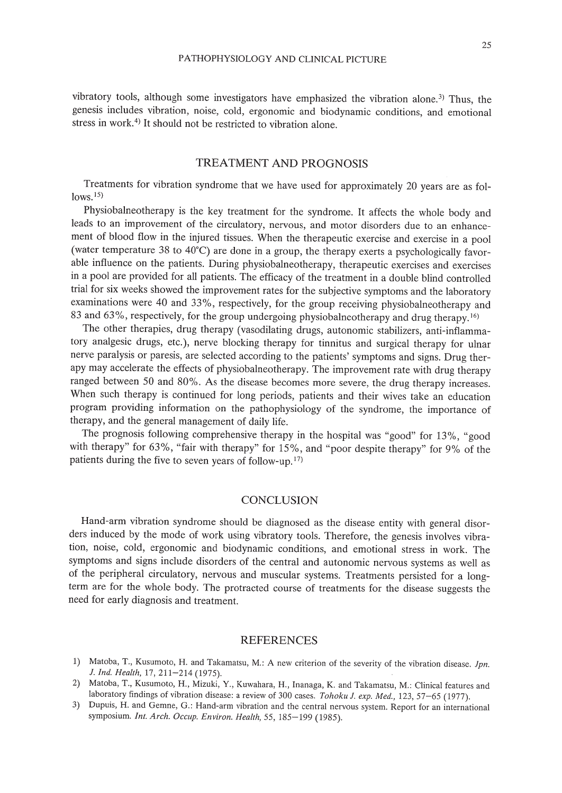vibratory tools, although some investigators have emphasized the vibration alone.<sup>3)</sup> Thus, the genesis includes vibration, noise, cold, ergonomic and biodynamic conditions, and emotional stress in work.<sup>4)</sup> It should not be restricted to vibration alone.

# TREATMENT AND PROGNOSIS

Treatments for vibration syndrome that we have used for approximately 20 years are as fol $lows.<sup>15</sup>$ 

Physiobalneotherapy is the key treatment for the syndrome. It affects the whole body and leads to an improvement of the circulatory, nervous, and motor disorders due to an enhancement of blood flow in the injured tissues. When the therapeutic exercise and exercise in a pool (water temperature 38 to 40°C) are done in a group, the therapy exerts a psychologically favorable influence on the patients. During physiobalneotherapy, therapeutic exercises and exercises in a pool are provided for all patients. The efficacy of the treatment in a double blind controlled trial for six weeks showed the improvement rates for the subjective symptoms and the laboratory examinations were 40 and 33%, respectively, for the group receiving physiobalneotherapy and 83 and 63%, respectively, for the group undergoing physiobalneotherapy and drug therapy.<sup>16)</sup>

The other therapies, drug therapy (vasodilating drugs, autonomic stabilizers, anti-inflammatory analgesic drugs, etc.), nerve blocking therapy for tinnitus and surgical therapy for ulnar nerve paralysis or paresis, are selected according to the patients' symptoms and signs. Drug therapy may accelerate the effects of physiobalneotherapy. The improvement rate with drug therapy ranged between 50 and 80%. As the disease becomes more severe, the drug therapy increases. When such therapy is continued for long periods, patients and their wives take an education program providing information on the pathophysiology of the syndrome, the importance of therapy, and the general management of daily life.

The prognosis following comprehensive therapy in the hospital was "good" for 13%, "good with therapy" for 63%, "fair with therapy" for 15%, and "poor despite therapy" for 9% of the patients during the five to seven years of follow-up.<sup>17)</sup>

### **CONCLUSION**

Hand-arm vibration syndrome should be diagnosed as the disease entity with general disorders induced by the mode of work using vibratory tools. Therefore, the genesis involves vibration, noise, cold, ergonomic and biodynamic conditions, and emotional stress in work. The symptoms and signs include disorders of the central and autonomic nervous systems as well as of the peripheral circulatory, nervous and muscular systems. Treatments persisted for a longterm are for the whole body. The protracted course of treatments for the disease suggests the need for early diagnosis and treatment.

#### **REFERENCES**

- 1) Matoba, T., Kusumoto, H. and Takamatsu, M.: A new criterion of the severity of the vibration disease. *lpn. l. Ind. Health,* 17,211-214 (1975).
- 2) Matoba, T., Kusumoto, H., Mizuki, Y., Kuwahara, H., Inanaga, K. and Takamatsu, M.: Clinical features and laboratory findings of vibration disease: a review of 300 cases. *Tohoku J. exp. Med.*, 123, 57-65 (1977).
- 3) Dupuis, H. and Gemne, G.: Hand-arm vibration and the central nervous system. Report for an international symposium. *Int. Arch. Occup. Environ. Health,* 55, 185-199 (1985).